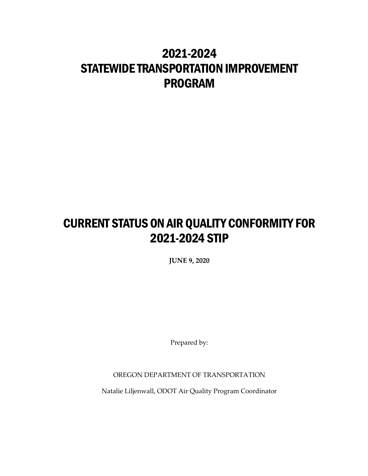# 2021-2024 STATEWIDE TRANSPORTATION IMPROVEMENT PROGRAM

# CURRENT STATUS ON AIR QUALITY CONFORMITY FOR 2021-2024 STIP

**JUNE 9, 2020**

Prepared by:

OREGON DEPARTMENT OF TRANSPORTATION

Natalie Liljenwall, ODOT Air Quality Program Coordinator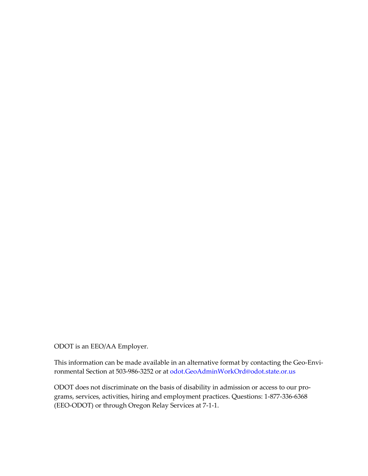ODOT is an EEO/AA Employer.

This information can be made available in an alternative format by contacting the Geo-Environmental Section at 503-986-3252 or at odot.GeoAdminWorkOrd@odot.state.or.us

ODOT does not discriminate on the basis of disability in admission or access to our programs, services, activities, hiring and employment practices. Questions: 1-877-336-6368 (EEO-ODOT) or through Oregon Relay Services at 7-1-1.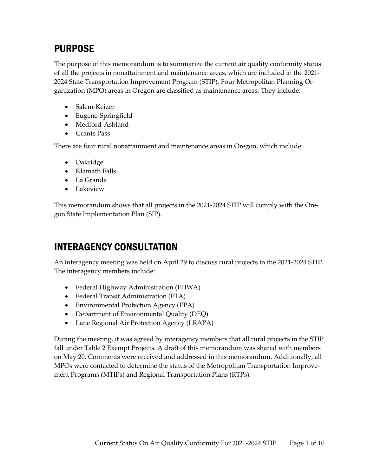# PURPOSE

The purpose of this memorandum is to summarize the current air quality conformity status of all the projects in nonattainment and maintenance areas, which are included in the 2021- 2024 State Transportation Improvement Program (STIP). Four Metropolitan Planning Organization (MPO) areas in Oregon are classified as maintenance areas. They include:

- Salem-Keizer
- Eugene-Springfield
- Medford-Ashland
- Grants Pass

There are four rural nonattainment and maintenance areas in Oregon, which include:

- Oakridge
- Klamath Falls
- La Grande
- Lakeview

This memorandum shows that all projects in the 2021-2024 STIP will comply with the Oregon State Implementation Plan (SIP).

## INTERAGENCY CONSULTATION

An interagency meeting was held on April 29 to discuss rural projects in the 2021-2024 STIP. The interagency members include:

- Federal Highway Administration (FHWA)
- Federal Transit Administration (FTA)
- Environmental Protection Agency (EPA)
- Department of Environmental Quality (DEQ)
- Lane Regional Air Protection Agency (LRAPA)

During the meeting, it was agreed by interagency members that all rural projects in the STIP fall under Table 2 Exempt Projects. A draft of this memorandum was shared with members on May 20. Comments were received and addressed in this memorandum. Additionally, all MPOs were contacted to determine the status of the Metropolitan Transportation Improvement Programs (MTIPs) and Regional Transportation Plans (RTPs).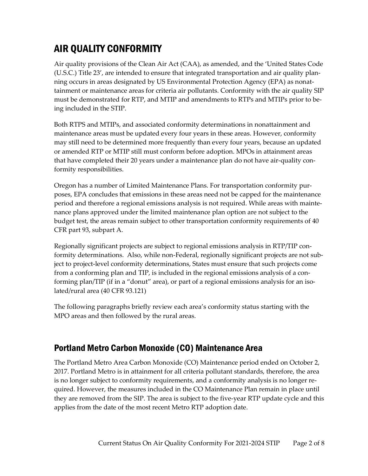# AIR QUALITY CONFORMITY

Air quality provisions of the Clean Air Act (CAA), as amended, and the 'United States Code (U.S.C.) Title 23', are intended to ensure that integrated transportation and air quality planning occurs in areas designated by US Environmental Protection Agency (EPA) as nonattainment or maintenance areas for criteria air pollutants. Conformity with the air quality SIP must be demonstrated for RTP, and MTIP and amendments to RTPs and MTIPs prior to being included in the STIP.

Both RTPS and MTIPs, and associated conformity determinations in nonattainment and maintenance areas must be updated every four years in these areas. However, conformity may still need to be determined more frequently than every four years, because an updated or amended RTP or MTIP still must conform before adoption. MPOs in attainment areas that have completed their 20 years under a maintenance plan do not have air-quality conformity responsibilities.

Oregon has a number of Limited Maintenance Plans. For transportation conformity purposes, EPA concludes that emissions in these areas need not be capped for the maintenance period and therefore a regional emissions analysis is not required. While areas with maintenance plans approved under the limited maintenance plan option are not subject to the budget test, the areas remain subject to other transportation conformity requirements of 40 CFR part 93, subpart A.

Regionally significant projects are subject to regional emissions analysis in RTP/TIP conformity determinations. Also, while non-Federal, regionally significant projects are not subject to project-level conformity determinations, States must ensure that such projects come from a conforming plan and TIP, is included in the regional emissions analysis of a conforming plan/TIP (if in a "donut" area), or part of a regional emissions analysis for an isolated/rural area (40 CFR 93.121)

The following paragraphs briefly review each area's conformity status starting with the MPO areas and then followed by the rural areas.

## Portland Metro Carbon Monoxide (CO) Maintenance Area

The Portland Metro Area Carbon Monoxide (CO) Maintenance period ended on October 2, 2017. Portland Metro is in attainment for all criteria pollutant standards, therefore, the area is no longer subject to conformity requirements, and a conformity analysis is no longer required. However, the measures included in the CO Maintenance Plan remain in place until they are removed from the SIP. The area is subject to the five-year RTP update cycle and this applies from the date of the most recent Metro RTP adoption date.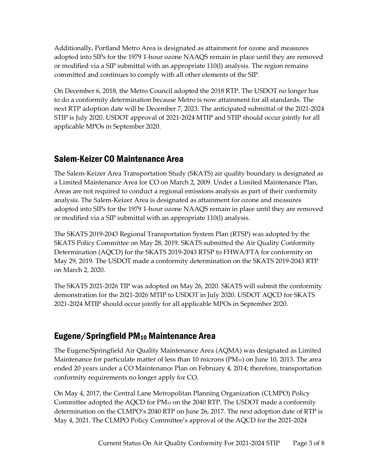Additionally, Portland Metro Area is designated as attainment for ozone and measures adopted into SIPs for the 1979 1-hour ozone NAAQS remain in place until they are removed or modified via a SIP submittal with an appropriate 110(l) analysis. The region remains committed and continues to comply with all other elements of the SIP.

On December 6, 2018, the Metro Council adopted the 2018 RTP. The USDOT no longer has to do a conformity determination because Metro is now attainment for all standards. The next RTP adoption date will be December 7, 2023. The anticipated submittal of the 2021-2024 STIP is July 2020. USDOT approval of 2021-2024 MTIP and STIP should occur jointly for all applicable MPOs in September 2020.

## Salem-Keizer CO Maintenance Area

The Salem-Keizer Area Transportation Study (SKATS) air quality boundary is designated as a Limited Maintenance Area for CO on March 2, 2009. Under a Limited Maintenance Plan, Areas are not required to conduct a regional emissions analysis as part of their conformity analysis. The Salem-Keizer Area is designated as attainment for ozone and measures adopted into SIPs for the 1979 1-hour ozone NAAQS remain in place until they are removed or modified via a SIP submittal with an appropriate 110(l) analysis.

The SKATS 2019-2043 Regional Transportation System Plan (RTSP) was adopted by the SKATS Policy Committee on May 28, 2019. SKATS submitted the Air Quality Conformity Determination (AQCD) for the SKATS 2019-2043 RTSP to FHWA/FTA for conformity on May 29, 2019. The USDOT made a conformity determination on the SKATS 2019-2043 RTP on March 2, 2020.

The SKATS 2021-2026 TIP was adopted on May 26, 2020. SKATS will submit the conformity demonstration for the 2021-2026 MTIP to USDOT in July 2020. USDOT AQCD for SKATS 2021-2024 MTIP should occur jointly for all applicable MPOs in September 2020.

## Eugene/Springfield PM<sup>10</sup> Maintenance Area

The Eugene/Springfield Air Quality Maintenance Area (AQMA) was designated as Limited Maintenance for particulate matter of less than 10 microns  $(PM_{10})$  on June 10, 2013. The area ended 20 years under a CO Maintenance Plan on February 4, 2014; therefore, transportation conformity requirements no longer apply for CO.

On May 4, 2017, the Central Lane Metropolitan Planning Organization (CLMPO) Policy Committee adopted the AQCD for PM<sup>10</sup> on the 2040 RTP. The USDOT made a conformity determination on the CLMPO's 2040 RTP on June 26, 2017. The next adoption date of RTP is May 4, 2021. The CLMPO Policy Committee's approval of the AQCD for the 2021-2024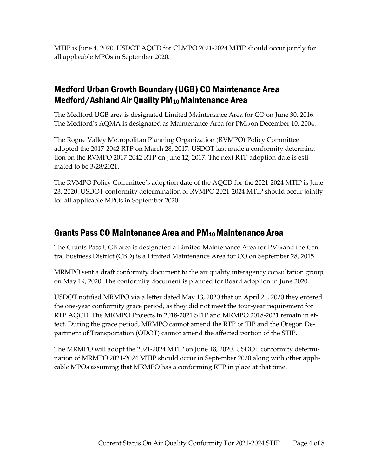MTIP is June 4, 2020. USDOT AQCD for CLMPO 2021-2024 MTIP should occur jointly for all applicable MPOs in September 2020.

## Medford Urban Growth Boundary (UGB) CO Maintenance Area Medford/Ashland Air Quality PM<sub>10</sub> Maintenance Area

The Medford UGB area is designated Limited Maintenance Area for CO on June 30, 2016. The Medford's AQMA is designated as Maintenance Area for PM<sub>10</sub> on December 10, 2004.

The Rogue Valley Metropolitan Planning Organization (RVMPO) Policy Committee adopted the 2017-2042 RTP on March 28, 2017. USDOT last made a conformity determination on the RVMPO 2017-2042 RTP on June 12, 2017. The next RTP adoption date is estimated to be 3/28/2021.

The RVMPO Policy Committee's adoption date of the AQCD for the 2021-2024 MTIP is June 23, 2020. USDOT conformity determination of RVMPO 2021-2024 MTIP should occur jointly for all applicable MPOs in September 2020.

### Grants Pass CO Maintenance Area and PM10 Maintenance Area

The Grants Pass UGB area is designated a Limited Maintenance Area for PM<sup>10</sup> and the Central Business District (CBD) is a Limited Maintenance Area for CO on September 28, 2015.

MRMPO sent a draft conformity document to the air quality interagency consultation group on May 19, 2020. The conformity document is planned for Board adoption in June 2020.

USDOT notified MRMPO via a letter dated May 13, 2020 that on April 21, 2020 they entered the one-year conformity grace period, as they did not meet the four-year requirement for RTP AQCD. The MRMPO Projects in 2018-2021 STIP and MRMPO 2018-2021 remain in effect. During the grace period, MRMPO cannot amend the RTP or TIP and the Oregon Department of Transportation (ODOT) cannot amend the affected portion of the STIP.

The MRMPO will adopt the 2021-2024 MTIP on June 18, 2020. USDOT conformity determination of MRMPO 2021-2024 MTIP should occur in September 2020 along with other applicable MPOs assuming that MRMPO has a conforming RTP in place at that time.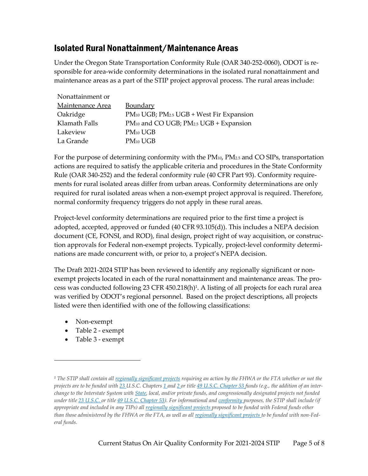### Isolated Rural Nonattainment/Maintenance Areas

Under the Oregon State Transportation Conformity Rule (OAR 340-252-0060), ODOT is responsible for area-wide conformity determinations in the isolated rural nonattainment and maintenance areas as a part of the STIP project approval process. The rural areas include:

| Nonattainment or |                                                                |
|------------------|----------------------------------------------------------------|
| Maintenance Area | <b>Boundary</b>                                                |
| Oakridge         | PM10 UGB; PM2.5 UGB + West Fir Expansion                       |
| Klamath Falls    | PM <sub>10</sub> and CO UGB; PM <sub>2.5</sub> UGB + Expansion |
| Lakeview         | $PM_{10} UGB$                                                  |
| La Grande        | $PM_{10} UGB$                                                  |

For the purpose of determining conformity with the  $PM_{10}$ ,  $PM_{2.5}$  and CO SIPs, transportation actions are required to satisfy the applicable criteria and procedures in the State Conformity Rule (OAR 340-252) and the federal conformity rule (40 CFR Part 93). Conformity requirements for rural isolated areas differ from urban areas. Conformity determinations are only required for rural isolated areas when a non-exempt project approval is required. Therefore, normal conformity frequency triggers do not apply in these rural areas.

Project-level conformity determinations are required prior to the first time a project is adopted, accepted, approved or funded (40 CFR 93.105(d)). This includes a NEPA decision document (CE, FONSI, and ROD), final design, project right of way acquisition, or construction approvals for Federal non-exempt projects. Typically, project-level conformity determinations are made concurrent with, or prior to, a project's NEPA decision.

The Draft 2021-2024 STIP has been reviewed to identify any regionally significant or nonexempt projects located in each of the rural nonattainment and maintenance areas. The process was conducted following 23 CFR 450.218(h)<sup>1</sup> . A listing of all projects for each rural area was verified by ODOT's regional personnel. Based on the project descriptions, all projects listed were then identified with one of the following classifications:

- Non-exempt
- Table 2 exempt
- Table 3 exempt

*<sup>1</sup> The STIP shall contain all [regionally significant projects](https://www.law.cornell.edu/definitions/index.php?width=840&height=800&iframe=true&def_id=82eb6057cf5bb58c312ccd7697f52ef6&term_occur=999&term_src=Title:23:Chapter:I:Subchapter:E:Part:450:Subpart:B:450.218) requiring an action by the FHWA or the FTA whether or not the projects are to be funded with [23](https://www.law.cornell.edu/uscode/text/23) U.S.C. Chapters [1](https://www.law.cornell.edu/uscode/text/23/chapter-1) and [2](https://www.law.cornell.edu/uscode/text/23/chapter-2) or title [49 U.S.C. Chapter 53](https://www.law.cornell.edu/uscode/text/49/subtitle-III/chapter-53) funds (e.g., the addition of an interchange to the Interstate System with [State,](https://www.law.cornell.edu/definitions/index.php?width=840&height=800&iframe=true&def_id=50d83bc36a57f1eab16c2b698164ef41&term_occur=999&term_src=Title:23:Chapter:I:Subchapter:E:Part:450:Subpart:B:450.218) local, and/or private funds, and congressionally designated projects not funded under title [23 U.S.C.](https://www.law.cornell.edu/uscode/text/23) or title [49 U.S.C. Chapter 53\)](https://www.law.cornell.edu/uscode/text/49/subtitle-III/chapter-53). For informational and [conformity](https://www.law.cornell.edu/definitions/index.php?width=840&height=800&iframe=true&def_id=3fc2d8974045ae8efc64ee27d5d3673a&term_occur=999&term_src=Title:23:Chapter:I:Subchapter:E:Part:450:Subpart:B:450.218) purposes, the STIP shall include (if appropriate and included in any TIPs) all [regionally significant projects](https://www.law.cornell.edu/definitions/index.php?width=840&height=800&iframe=true&def_id=82eb6057cf5bb58c312ccd7697f52ef6&term_occur=999&term_src=Title:23:Chapter:I:Subchapter:E:Part:450:Subpart:B:450.218) proposed to be funded with Federal funds other than those administered by the FHWA or the FTA, as well as all [regionally significant projects](https://www.law.cornell.edu/definitions/index.php?width=840&height=800&iframe=true&def_id=82eb6057cf5bb58c312ccd7697f52ef6&term_occur=999&term_src=Title:23:Chapter:I:Subchapter:E:Part:450:Subpart:B:450.218) to be funded with non-Federal funds.*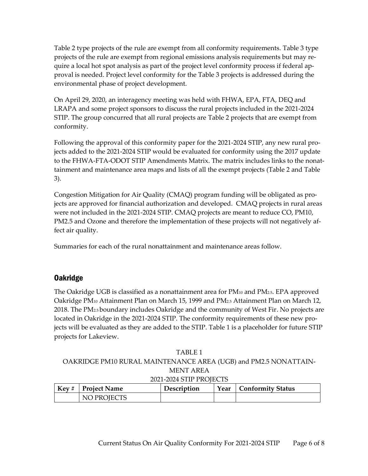Table 2 type projects of the rule are exempt from all conformity requirements. Table 3 type projects of the rule are exempt from regional emissions analysis requirements but may require a local hot spot analysis as part of the project level conformity process if federal approval is needed. Project level conformity for the Table 3 projects is addressed during the environmental phase of project development.

On April 29, 2020, an interagency meeting was held with FHWA, EPA, FTA, DEQ and LRAPA and some project sponsors to discuss the rural projects included in the 2021-2024 STIP. The group concurred that all rural projects are Table 2 projects that are exempt from conformity.

Following the approval of this conformity paper for the 2021-2024 STIP, any new rural projects added to the 2021-2024 STIP would be evaluated for conformity using the 2017 update to the FHWA-FTA-ODOT STIP Amendments Matrix. The matrix includes links to the nonattainment and maintenance area maps and lists of all the exempt projects (Table 2 and Table 3).

Congestion Mitigation for Air Quality (CMAQ) program funding will be obligated as projects are approved for financial authorization and developed. CMAQ projects in rural areas were not included in the 2021-2024 STIP. CMAQ projects are meant to reduce CO, PM10, PM2.5 and Ozone and therefore the implementation of these projects will not negatively affect air quality.

Summaries for each of the rural nonattainment and maintenance areas follow.

#### Oakridge

The Oakridge UGB is classified as a nonattainment area for  $PM_{10}$  and  $PM_{2.5}$ . EPA approved Oakridge PM<sup>10</sup> Attainment Plan on March 15, 1999 and PM2.5 Attainment Plan on March 12, 2018. The PM2.5 boundary includes Oakridge and the community of West Fir. No projects are located in Oakridge in the 2021-2024 STIP. The conformity requirements of these new projects will be evaluated as they are added to the STIP. Table 1 is a placeholder for future STIP projects for Lakeview.

#### TABLE 1 OAKRIDGE PM10 RURAL MAINTENANCE AREA (UGB) and PM2.5 NONATTAIN-MENT AREA 2021-2024 STIP PROJECTS

| $Key #$ Project Name | <b>Description</b> | Year   Conformity Status |
|----------------------|--------------------|--------------------------|
| NO PROJECTS          |                    |                          |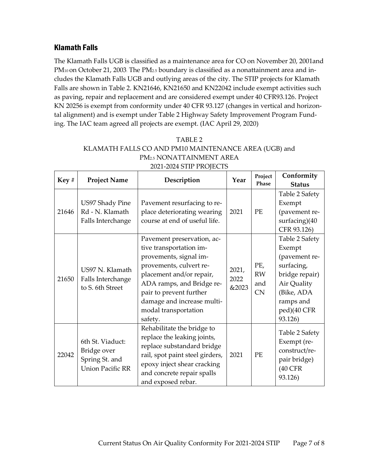#### Klamath Falls

The Klamath Falls UGB is classified as a maintenance area for CO on November 20, 2001and PM<sub>10</sub> on October 21, 2003. The PM<sub>2.5</sub> boundary is classified as a nonattainment area and includes the Klamath Falls UGB and outlying areas of the city. The STIP projects for Klamath Falls are shown in Table 2. KN21646, KN21650 and KN22042 include exempt activities such as paving, repair and replacement and are considered exempt under 40 CFR93.126. Project KN 20256 is exempt from conformity under 40 CFR 93.127 (changes in vertical and horizontal alignment) and is exempt under Table 2 Highway Safety Improvement Program Funding. The IAC team agreed all projects are exempt. (IAC April 29, 2020)

| TABLE <sub>2</sub>                                   |
|------------------------------------------------------|
| KLAMATH FALLS CO AND PM10 MAINTENANCE AREA (UGB) and |
| PM <sub>2.5</sub> NONATTAINMENT AREA                 |
| 2021-2024 STIP PROJECTS                              |

| Key#  | <b>Project Name</b>                                                          | Description                                                                                                                                                                                                                                                     | Year                   | Project                       | Conformity                                                                                                                                    |
|-------|------------------------------------------------------------------------------|-----------------------------------------------------------------------------------------------------------------------------------------------------------------------------------------------------------------------------------------------------------------|------------------------|-------------------------------|-----------------------------------------------------------------------------------------------------------------------------------------------|
|       |                                                                              |                                                                                                                                                                                                                                                                 |                        | Phase                         | <b>Status</b>                                                                                                                                 |
| 21646 | US97 Shady Pine<br>Rd - N. Klamath<br>Falls Interchange                      | Pavement resurfacing to re-<br>place deteriorating wearing<br>course at end of useful life.                                                                                                                                                                     | 2021                   | PE                            | Table 2 Safety<br>Exempt<br>(pavement re-<br>surfacing)(40<br>CFR 93.126)                                                                     |
| 21650 | US97 N. Klamath<br>Falls Interchange<br>to S. 6th Street                     | Pavement preservation, ac-<br>tive transportation im-<br>provements, signal im-<br>provements, culvert re-<br>placement and/or repair,<br>ADA ramps, and Bridge re-<br>pair to prevent further<br>damage and increase multi-<br>modal transportation<br>safety. | 2021,<br>2022<br>&2023 | PE,<br><b>RW</b><br>and<br>CN | Table 2 Safety<br>Exempt<br>(pavement re-<br>surfacing,<br>bridge repair)<br>Air Quality<br>(Bike, ADA<br>ramps and<br>ped)(40 CFR<br>93.126) |
| 22042 | 6th St. Viaduct:<br>Bridge over<br>Spring St. and<br><b>Union Pacific RR</b> | Rehabilitate the bridge to<br>replace the leaking joints,<br>replace substandard bridge<br>rail, spot paint steel girders,<br>epoxy inject shear cracking<br>and concrete repair spalls<br>and exposed rebar.                                                   | 2021                   | PE                            | Table 2 Safety<br>Exempt (re-<br>construct/re-<br>pair bridge)<br>(40 CFR<br>93.126)                                                          |